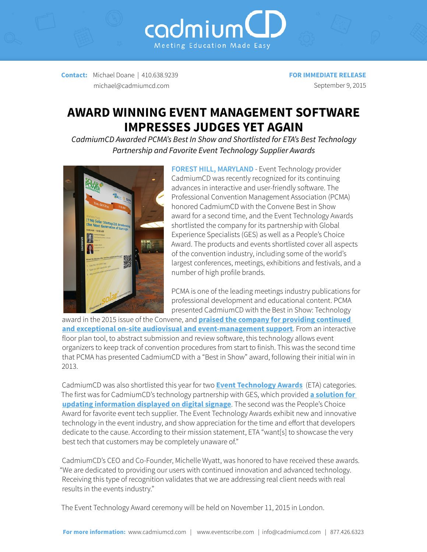**Contact:** Michael Doane | 410.638.9239 michael@cadmiumcd.com

**FOR IMMEDIATE RELEASE** September 9, 2015

## **AWARD WINNING EVENT MANAGEMENT SOFTWARE IMPRESSES JUDGES YET AGAIN**

Meeting Education Made Easy

cadmium

*CadmiumCD Awarded PCMA's Best In Show and Shortlisted for ETA's Best Technology Partnership and Favorite Event Technology Supplier Awards*



**FOREST HILL, MARYLAND** - Event Technology provider CadmiumCD was recently recognized for its continuing advances in interactive and user-friendly software. The Professional Convention Management Association (PCMA) honored CadmiumCD with the Convene Best in Show award for a second time, and the Event Technology Awards shortlisted the company for its partnership with Global Experience Specialists (GES) as well as a People's Choice Award. The products and events shortlisted cover all aspects of the convention industry, including some of the world's largest conferences, meetings, exhibitions and festivals, and a number of high profile brands.

PCMA is one of the leading meetings industry publications for professional development and educational content. PCMA presented CadmiumCD with the Best in Show: Technology

award in the 2015 issue of the Convene, and **[praised the company for providing continued](http://www.pcmaconvene.org/features/cover-story/2015-best-in-show/)  [and exceptional on-site audiovisual and event-management support](http://www.pcmaconvene.org/features/cover-story/2015-best-in-show/)**. From an interactive floor plan tool, to abstract submission and review software, this technology allows event organizers to keep track of convention procedures from start to finish. This was the second time that PCMA has presented CadmiumCD with a "Best in Show" award, following their initial win in 2013.

CadmiumCD was also shortlisted this year for two **[Event Technology Awards](http://www.eventtechnologyawards.co.uk/shortlist-2015/)** (ETA) categories. The first was for CadmiumCD's technology partnership with GES, which provided **[a solution for](http://ges.com/us/who-we-are/newsroom-details/2014/12/09/ges-and-cadmiumcd-offer-exclusive-content-management-solution)  [updating information displayed on digital signage](http://ges.com/us/who-we-are/newsroom-details/2014/12/09/ges-and-cadmiumcd-offer-exclusive-content-management-solution)**. The second was the People's Choice Award for favorite event tech supplier. The Event Technology Awards exhibit new and innovative technology in the event industry, and show appreciation for the time and effort that developers dedicate to the cause. According to their mission statement, ETA "want[s] to showcase the very best tech that customers may be completely unaware of."

CadmiumCD's CEO and Co-Founder, Michelle Wyatt, was honored to have received these awards. "We are dedicated to providing our users with continued innovation and advanced technology. Receiving this type of recognition validates that we are addressing real client needs with real results in the events industry."

The Event Technology Award ceremony will be held on November 11, 2015 in London.